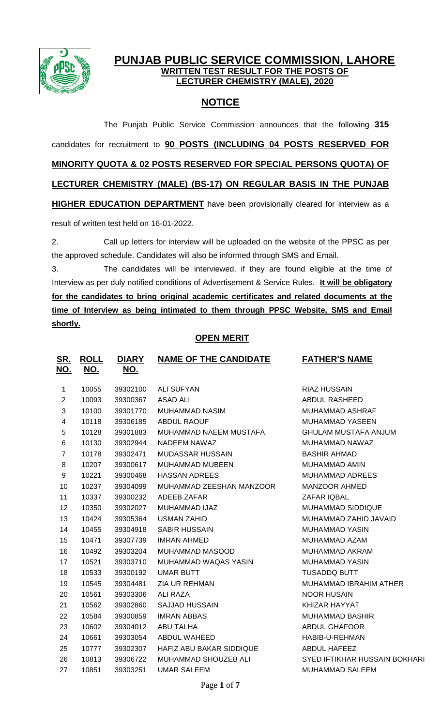

## **PUNJAB PUBLIC SERVICE COMMISSION, LAHORE WRITTEN TEST RESULT FOR THE POSTS OF LECTURER CHEMISTRY (MALE), 2020**

# **NOTICE**

The Punjab Public Service Commission announces that the following **315** candidates for recruitment to **90 POSTS (INCLUDING 04 POSTS RESERVED FOR MINORITY QUOTA & 02 POSTS RESERVED FOR SPECIAL PERSONS QUOTA) OF LECTURER CHEMISTRY (MALE) (BS-17) ON REGULAR BASIS IN THE PUNJAB HIGHER EDUCATION DEPARTMENT** have been provisionally cleared for interview as a result of written test held on 16-01-2022.

2. Call up letters for interview will be uploaded on the website of the PPSC as per the approved schedule. Candidates will also be informed through SMS and Email.

3. The candidates will be interviewed, if they are found eligible at the time of Interview as per duly notified conditions of Advertisement & Service Rules. **It will be obligatory for the candidates to bring original academic certificates and related documents at the time of Interview as being intimated to them through PPSC Website, SMS and Email shortly.**

## **OPEN MERIT**

| <u>SR.</u><br><u>NO.</u> | <b>ROLL</b><br><u>NO.</u> | <u>DIARY</u><br><u>NO.</u> | <b>NAME OF THE CANDIDATE</b> | <b>FATHER'S NAME</b>          |
|--------------------------|---------------------------|----------------------------|------------------------------|-------------------------------|
| $\mathbf{1}$             | 10055                     | 39302100                   | <b>ALI SUFYAN</b>            | <b>RIAZ HUSSAIN</b>           |
| $\overline{2}$           | 10093                     | 39300367                   | <b>ASAD ALI</b>              | <b>ABDUL RASHEED</b>          |
| 3                        | 10100                     | 39301770                   | <b>MUHAMMAD NASIM</b>        | MUHAMMAD ASHRAF               |
| 4                        | 10118                     | 39306185                   | <b>ABDUL RAOUF</b>           | <b>MUHAMMAD YASEEN</b>        |
| 5                        | 10128                     | 39301883                   | MUHAMMAD NAEEM MUSTAFA       | <b>GHULAM MUSTAFA ANJUM</b>   |
| 6                        | 10130                     | 39302944                   | NADEEM NAWAZ                 | MUHAMMAD NAWAZ                |
| $\overline{7}$           | 10178                     | 39302471                   | <b>MUDASSAR HUSSAIN</b>      | <b>BASHIR AHMAD</b>           |
| 8                        | 10207                     | 39300617                   | <b>MUHAMMAD MUBEEN</b>       | <b>MUHAMMAD AMIN</b>          |
| 9                        | 10221                     | 39300468                   | <b>HASSAN ADREES</b>         | <b>MUHAMMAD ADREES</b>        |
| 10                       | 10237                     | 39304099                   | MUHAMMAD ZEESHAN MANZOOR     | MANZOOR AHMED                 |
| 11                       | 10337                     | 39300232                   | ADEEB ZAFAR                  | ZAFAR IQBAL                   |
| 12                       | 10350                     | 39302027                   | MUHAMMAD IJAZ                | <b>MUHAMMAD SIDDIQUE</b>      |
| 13                       | 10424                     | 39305364                   | <b>USMAN ZAHID</b>           | MUHAMMAD ZAHID JAVAID         |
| 14                       | 10455                     | 39304918                   | <b>SABIR HUSSAIN</b>         | <b>MUHAMMAD YASIN</b>         |
| 15                       | 10471                     | 39307739                   | <b>IMRAN AHMED</b>           | MUHAMMAD AZAM                 |
| 16                       | 10492                     | 39303204                   | MUHAMMAD MASOOD              | <b>MUHAMMAD AKRAM</b>         |
| 17                       | 10521                     | 39303710                   | MUHAMMAD WAQAS YASIN         | <b>MUHAMMAD YASIN</b>         |
| 18                       | 10533                     | 39300192                   | <b>UMAR BUTT</b>             | <b>TUSADDQ BUTT</b>           |
| 19                       | 10545                     | 39304481                   | <b>ZIA UR REHMAN</b>         | MUHAMMAD IBRAHIM ATHER        |
| 20                       | 10561                     | 39303306                   | ALI RAZA                     | <b>NOOR HUSAIN</b>            |
| 21                       | 10562                     | 39302860                   | <b>SAJJAD HUSSAIN</b>        | KHIZAR HAYYAT                 |
| 22                       | 10584                     | 39300859                   | <b>IMRAN ABBAS</b>           | <b>MUHAMMAD BASHIR</b>        |
| 23                       | 10602                     | 39304012                   | <b>ABU TALHA</b>             | <b>ABDUL GHAFOOR</b>          |
| 24                       | 10661                     | 39303054                   | ABDUL WAHEED                 | HABIB-U-REHMAN                |
| 25                       | 10777                     | 39302307                   | HAFIZ ABU BAKAR SIDDIQUE     | ABDUL HAFEEZ                  |
| 26                       | 10813                     | 39306722                   | MUHAMMAD SHOUZEB ALI         | SYED IFTIKHAR HUSSAIN BOKHARI |
| 27                       | 10851                     | 39303251                   | <b>UMAR SALEEM</b>           | <b>MUHAMMAD SALEEM</b>        |
|                          |                           |                            |                              |                               |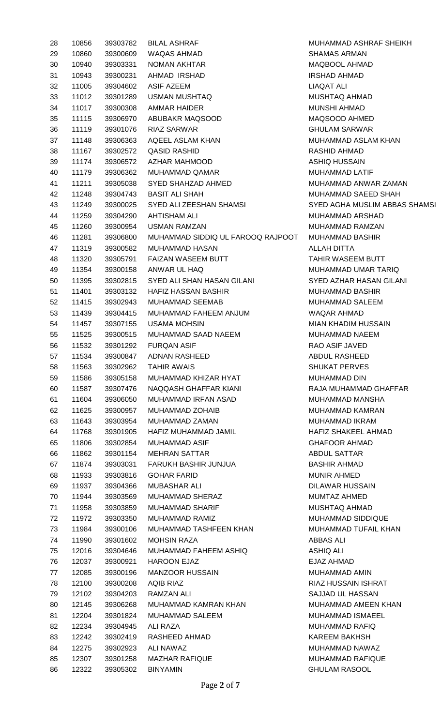| 28 | 10856 | 39303782 | <b>BILAL ASHRAF</b>               | <b>MUHAMM</b>    |
|----|-------|----------|-----------------------------------|------------------|
| 29 | 10860 | 39300609 | <b>WAQAS AHMAD</b>                | SHAMAS A         |
| 30 | 10940 | 39303331 | NOMAN AKHTAR                      | <b>MAQBOOL</b>   |
| 31 | 10943 | 39300231 | AHMAD IRSHAD                      | <b>IRSHAD AI</b> |
| 32 | 11005 | 39304602 | <b>ASIF AZEEM</b>                 | <b>LIAQAT AL</b> |
| 33 | 11012 | 39301289 | <b>USMAN MUSHTAQ</b>              | <b>MUSHTAQ</b>   |
| 34 | 11017 | 39300308 | <b>AMMAR HAIDER</b>               | <b>MUNSHI A</b>  |
| 35 | 11115 | 39306970 | ABUBAKR MAQSOOD                   | <b>MAQSOOL</b>   |
| 36 | 11119 | 39301076 | <b>RIAZ SARWAR</b>                | <b>GHULAMS</b>   |
| 37 | 11148 | 39306363 | AQEEL ASLAM KHAN                  | <b>MUHAMM</b>    |
| 38 | 11167 | 39302572 | <b>QASID RASHID</b>               | <b>RASHID AI</b> |
| 39 | 11174 | 39306572 | AZHAR MAHMOOD                     | <b>ASHIQ HU</b>  |
| 40 | 11179 | 39306362 | MUHAMMAD QAMAR                    | <b>MUHAMMA</b>   |
| 41 | 11211 | 39305038 | SYED SHAHZAD AHMED                | <b>MUHAMM</b>    |
| 42 | 11248 | 39304743 | <b>BASIT ALI SHAH</b>             | <b>MUHAMM</b>    |
| 43 | 11249 | 39300025 | SYED ALI ZEESHAN SHAMSI           | <b>SYED AGF</b>  |
| 44 | 11259 | 39304290 | <b>AHTISHAM ALI</b>               | <b>MUHAMMA</b>   |
| 45 | 11260 | 39300954 | <b>USMAN RAMZAN</b>               | <b>MUHAMM</b>    |
| 46 | 11281 | 39306800 | MUHAMMAD SIDDIQ UL FAROOQ RAJPOOT | <b>MUHAMM</b>    |
| 47 | 11319 | 39300582 | MUHAMMAD HASAN                    | <b>ALLAH DIT</b> |
| 48 | 11320 | 39305791 | FAIZAN WASEEM BUTT                | <b>TAHIR WA</b>  |
| 49 | 11354 | 39300158 | ANWAR UL HAQ                      | <b>MUHAMM</b>    |
| 50 | 11395 | 39302815 | SYED ALI SHAN HASAN GILANI        | SYED AZH         |
| 51 | 11401 | 39303132 | <b>HAFIZ HASSAN BASHIR</b>        | <b>MUHAMM</b>    |
| 52 | 11415 | 39302943 | MUHAMMAD SEEMAB                   | <b>MUHAMMA</b>   |
| 53 | 11439 | 39304415 | MUHAMMAD FAHEEM ANJUM             | <b>WAQAR AI</b>  |
| 54 | 11457 | 39307155 | <b>USAMA MOHSIN</b>               | <b>MIAN KHA</b>  |
| 55 | 11525 | 39300515 | MUHAMMAD SAAD NAEEM               | <b>MUHAMM</b>    |
| 56 | 11532 | 39301292 | <b>FURQAN ASIF</b>                | RAO ASIF         |
| 57 | 11534 | 39300847 | <b>ADNAN RASHEED</b>              | <b>ABDUL RA</b>  |
| 58 | 11563 | 39302962 | <b>TAHIR AWAIS</b>                | <b>SHUKAT P</b>  |
| 59 | 11586 | 39305158 | MUHAMMAD KHIZAR HYAT              | <b>MUHAMMA</b>   |
| 60 | 11587 | 39307476 | NAQQASH GHAFFAR KIANI             | RAJA MUH         |
| 61 | 11604 | 39306050 | <b>MUHAMMAD IRFAN ASAD</b>        | <b>MUHAMM</b>    |
| 62 | 11625 | 39300957 | MUHAMMAD ZOHAIB                   | <b>MUHAMM</b>    |
| 63 | 11643 | 39303954 | MUHAMMAD ZAMAN                    | <b>MUHAMM</b>    |
| 64 | 11768 | 39301905 | HAFIZ MUHAMMAD JAMIL              | <b>HAFIZ SHA</b> |
| 65 | 11806 | 39302854 | <b>MUHAMMAD ASIF</b>              | <b>GHAFOOR</b>   |
| 66 | 11862 | 39301154 | <b>MEHRAN SATTAR</b>              | <b>ABDUL SA</b>  |
| 67 | 11874 | 39303031 | FARUKH BASHIR JUNJUA              | <b>BASHIR AI</b> |
| 68 | 11933 | 39303816 | <b>GOHAR FARID</b>                | <b>MUNIR AH</b>  |
| 69 | 11937 | 39304366 | <b>MUBASHAR ALI</b>               | <b>DILAWAR</b>   |
| 70 | 11944 | 39303569 | MUHAMMAD SHERAZ                   | MUMTAZ /         |
| 71 | 11958 | 39303859 | MUHAMMAD SHARIF                   | <b>MUSHTAQ</b>   |
| 72 | 11972 | 39303350 | MUHAMMAD RAMIZ                    | <b>MUHAMMA</b>   |
| 73 | 11984 | 39300106 | MUHAMMAD TASHFEEN KHAN            | <b>MUHAMM</b>    |
| 74 | 11990 | 39301602 | <b>MOHSIN RAZA</b>                | <b>ABBAS AL</b>  |
| 75 | 12016 | 39304646 | MUHAMMAD FAHEEM ASHIQ             | <b>ASHIQ ALI</b> |
| 76 | 12037 | 39300921 | <b>HAROON EJAZ</b>                | <b>EJAZ AHM</b>  |
| 77 | 12085 | 39300196 | <b>MANZOOR HUSSAIN</b>            | <b>MUHAMM</b>    |
| 78 | 12100 | 39300208 | <b>AQIB RIAZ</b>                  | <b>RIAZ HUSS</b> |
| 79 | 12102 | 39304203 | RAMZAN ALI                        | <b>SAJJAD UI</b> |
| 80 | 12145 | 39306268 | MUHAMMAD KAMRAN KHAN              | <b>MUHAMMA</b>   |
| 81 | 12204 | 39301824 | MUHAMMAD SALEEM                   | <b>MUHAMM</b>    |
| 82 | 12234 | 39304945 | ALI RAZA                          | <b>MUHAMM</b>    |
| 83 | 12242 | 39302419 | RASHEED AHMAD                     | <b>KAREEM B</b>  |
| 84 | 12275 | 39302923 | ALI NAWAZ                         | <b>MUHAMM</b>    |
| 85 | 12307 | 39301258 | <b>MAZHAR RAFIQUE</b>             | <b>MUHAMM</b>    |
| 86 | 12322 | 39305302 | <b>BINYAMIN</b>                   | <b>GHULAM F</b>  |
|    |       |          |                                   |                  |

MUHAMMAD ASHRAF SHEIKH SHAMAS ARMAN MAQBOOL AHMAD IRSHAD AHMAD LIAQAT ALI MUSHTAQ AHMAD MUNSHI AHMAD MAQSOOD AHMED **GHULAM SARWAR** MUHAMMAD ASLAM KHAN RASHID AHMAD ASHIQ HUSSAIN MUHAMMAD LATIF MUHAMMAD ANWAR ZAMAN MUHAMMAD SAEED SHAH SYED AGHA MUSLIM ABBAS SHAMSI MUHAMMAD ARSHAD MUHAMMAD RAMZAN MUHAMMAD BASHIR **ALLAH DITTA** TAHIR WASEEM BUTT MUHAMMAD UMAR TARIQ SYED AZHAR HASAN GILANI MUHAMMAD BASHIR MUHAMMAD SALEEM WAQAR AHMAD MIAN KHADIM HUSSAIN MUHAMMAD NAEEM RAO ASIF JAVED ABDUL RASHEED SHUKAT PERVES MUHAMMAD DIN RAJA MUHAMMAD GHAFFAR MUHAMMAD MANSHA MUHAMMAD KAMRAN MUHAMMAD IKRAM HAFIZ SHAKEEL AHMAD **GHAFOOR AHMAD** ABDUL SATTAR BASHIR AHMAD **MUNIR AHMED** DILAWAR HUSSAIN MUMTAZ AHMED MUSHTAQ AHMAD MUHAMMAD SIDDIQUE MUHAMMAD TUFAIL KHAN ABBAS ALI EJAZ AHMAD MUHAMMAD AMIN RIAZ HUSSAIN ISHRAT SAJJAD UL HASSAN MUHAMMAD AMEEN KHAN MUHAMMAD ISMAEEL **MUHAMMAD RAFIQ** KAREEM BAKHSH MUHAMMAD NAWAZ MUHAMMAD RAFIQUE **GHULAM RASOOL**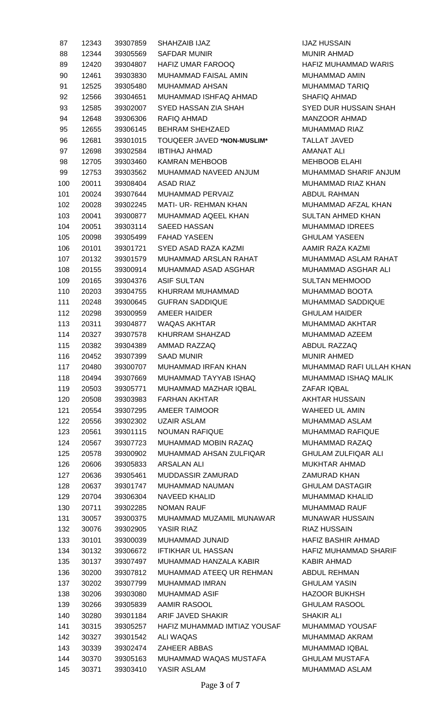| 87  | 12343 | 39307859 | SHAHZAIB IJAZ                     |
|-----|-------|----------|-----------------------------------|
| 88  | 12344 | 39305569 | SAFDAR MUNIR                      |
| 89  | 12420 | 39304807 | <b>HAFIZ UMAR FAROOQ</b>          |
| 90  | 12461 | 39303830 | MUHAMMAD FAISAL AMIN              |
| 91  | 12525 | 39305480 | MUHAMMAD AHSAN                    |
| 92  | 12566 | 39304651 | MUHAMMAD ISHFAQ AHMAD             |
| 93  | 12585 | 39302007 | SYED HASSAN ZIA SHAH              |
| 94  | 12648 | 39306306 | RAFIQ AHMAD                       |
| 95  | 12655 | 39306145 | <b>BEHRAM SHEHZAED</b>            |
| 96  | 12681 | 39301015 | <b>TOUQEER JAVED *NON-MUSLIM*</b> |
| 97  | 12698 | 39302584 | IBTIHAJ AHMAD                     |
| 98  | 12705 | 39303460 | KAMRAN MEHBOOB                    |
| 99  | 12753 | 39303562 | MUHAMMAD NAVEED ANJUM             |
| 100 | 20011 | 39308404 | ASAD RIAZ                         |
| 101 | 20024 | 39307644 | <b>MUHAMMAD PERVAIZ</b>           |
| 102 | 20028 | 39302245 | <b>MATI- UR- REHMAN KHAN</b>      |
| 103 | 20041 | 39300877 | MUHAMMAD AQEEL KHAN               |
| 104 | 20051 | 39303114 | SAEED HASSAN                      |
| 105 |       | 39305499 | <b>FAHAD YASEEN</b>               |
|     | 20098 |          |                                   |
| 106 | 20101 | 39301721 | SYED ASAD RAZA KAZMI              |
| 107 | 20132 | 39301579 | MUHAMMAD ARSLAN RAHAT             |
| 108 | 20155 | 39300914 | MUHAMMAD ASAD ASGHAR              |
| 109 | 20165 | 39304376 | ASIF SULTAN                       |
| 110 | 20203 | 39304755 | KHURRAM MUHAMMAD                  |
| 111 | 20248 | 39300645 | <b>GUFRAN SADDIQUE</b>            |
| 112 | 20298 | 39300959 | AMEER HAIDER                      |
| 113 | 20311 | 39304877 | <b>WAQAS AKHTAR</b>               |
| 114 | 20327 | 39307578 | KHURRAM SHAHZAD                   |
| 115 | 20382 | 39304389 | AMMAD RAZZAQ                      |
| 116 | 20452 | 39307399 | SAAD MUNIR                        |
| 117 | 20480 | 39300707 | <b>MUHAMMAD IRFAN KHAN</b>        |
| 118 | 20494 | 39307669 | MUHAMMAD TAYYAB ISHAQ             |
| 119 | 20503 | 39305771 | MUHAMMAD MAZHAR IQBAL             |
| 120 | 20508 | 39303983 | FARHAN AKHTAR                     |
| 121 | 20554 | 39307295 | AMEER TAIMOOR                     |
| 122 | 20556 | 39302302 | <b>UZAIR ASLAM</b>                |
| 123 | 20561 | 39301115 | <b>NOUMAN RAFIQUE</b>             |
| 124 | 20567 | 39307723 | MUHAMMAD MOBIN RAZAQ              |
| 125 | 20578 | 39300902 | MUHAMMAD AHSAN ZULFIQAR           |
| 126 | 20606 | 39305833 | <b>ARSALAN ALI</b>                |
| 127 | 20636 | 39305461 | MUDDASSIR ZAMURAD                 |
| 128 | 20637 | 39301747 | MUHAMMAD NAUMAN                   |
| 129 | 20704 | 39306304 | <b>NAVEED KHALID</b>              |
| 130 | 20711 | 39302285 | NOMAN RAUF                        |
| 131 | 30057 | 39300375 | MUHAMMAD MUZAMIL MUNAWAR          |
| 132 | 30076 | 39302905 | YASIR RIAZ                        |
| 133 | 30101 | 39300039 | MUHAMMAD JUNAID                   |
| 134 | 30132 | 39306672 | <b>IFTIKHAR UL HASSAN</b>         |
| 135 | 30137 | 39307497 | MUHAMMAD HANZALA KABIR            |
| 136 | 30200 | 39307812 | MUHAMMAD ATEEQ UR REHMAN          |
| 137 | 30202 | 39307799 | <b>MUHAMMAD IMRAN</b>             |
| 138 | 30206 | 39303080 | MUHAMMAD ASIF                     |
| 139 | 30266 | 39305839 | AAMIR RASOOL                      |
| 140 | 30280 | 39301184 | ARIF JAVED SHAKIR                 |
| 141 | 30315 | 39305257 | HAFIZ MUHAMMAD IMTIAZ YOUSA       |
| 142 | 30327 | 39301542 | ALI WAQAS                         |
| 143 | 30339 | 39302474 | <b>ZAHEER ABBAS</b>               |
| 144 | 30370 | 39305163 | MUHAMMAD WAQAS MUSTAFA            |
| 145 | 30371 | 39303410 | YASIR ASLAM                       |

**IJAZ HUSSAIN MUNIR AHMAD** HAFIZ MUHAMMAD WARIS MUHAMMAD AMIN MUHAMMAD TARIQ SHAFIQ AHMAD **SYED DUR HUSSAIN SHAH** MANZOOR AHMAD MUHAMMAD RIAZ 96 12681 39301015 TOUQEER JAVED **\*NON-MUSLIM\*** TALLAT JAVED AMANAT ALI MEHBOOB ELAHI MUHAMMAD SHARIF ANJUM MUHAMMAD RIAZ KHAN ABDUL RAHMAN MUHAMMAD AFZAL KHAN SULTAN AHMED KHAN MUHAMMAD IDREES **GHULAM YASEEN** 106 20101 39301721 SYED ASAD RAZA KAZMI AAMIR RAZA KAZMI MUHAMMAD ASLAM RAHAT MUHAMMAD ASGHAR ALI SULTAN MEHMOOD MUHAMMAD BOOTA MUHAMMAD SADDIQUE **GHULAM HAIDER** MUHAMMAD AKHTAR MUHAMMAD AZEEM ABDUL RAZZAQ MUNIR AHMED MUHAMMAD RAFI ULLAH KHAN MUHAMMAD ISHAQ MALIK ZAFAR IQBAL AKHTAR HUSSAIN WAHEED UL AMIN MUHAMMAD ASLAM MUHAMMAD RAFIQUE MUHAMMAD RAZAQ **GHULAM ZULFIQAR ALI** MUKHTAR AHMAD ZAMURAD KHAN **GHULAM DASTAGIR** MUHAMMAD KHALID MUHAMMAD RAUF MUNAWAR HUSSAIN RIAZ HUSSAIN HAFIZ BASHIR AHMAD HAFIZ MUHAMMAD SHARIF KABIR AHMAD ABDUL REHMAN **GHULAM YASIN HAZOOR BUKHSH GHULAM RASOOL SHAKIR ALI** F MUHAMMAD YOUSAF MUHAMMAD AKRAM MUHAMMAD IQBAL **GHULAM MUSTAFA** MUHAMMAD ASLAM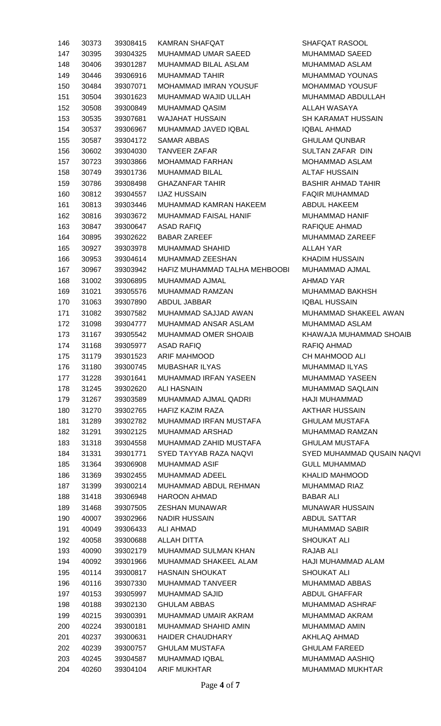| 146 | 30373 | 39308415 | <b>KAMRAN SHAFQAT</b>         |
|-----|-------|----------|-------------------------------|
| 147 | 30395 | 39304325 | MUHAMMAD UMAR SAEED           |
| 148 | 30406 | 39301287 | MUHAMMAD BILAL ASLAM          |
| 149 | 30446 | 39306916 | MUHAMMAD TAHIR                |
| 150 | 30484 | 39307071 | <b>MOHAMMAD IMRAN YOUSUF</b>  |
| 151 | 30504 | 39301623 | MUHAMMAD WAJID ULLAH          |
| 152 | 30508 | 39300849 | MUHAMMAD QASIM                |
| 153 | 30535 | 39307681 | <b>WAJAHAT HUSSAIN</b>        |
| 154 | 30537 | 39306967 | MUHAMMAD JAVED IQBAL          |
| 155 | 30587 | 39304172 | SAMAR ABBAS                   |
| 156 | 30602 | 39304030 | <b>TANVEER ZAFAR</b>          |
| 157 | 30723 | 39303866 | MOHAMMAD FARHAN               |
| 158 | 30749 | 39301736 | <b>MUHAMMAD BILAL</b>         |
| 159 | 30786 | 39308498 | GHAZANFAR TAHIR               |
| 160 | 30812 | 39304557 | <b>IJAZ HUSSAIN</b>           |
|     |       |          | MUHAMMAD KAMRAN HAKEEM        |
| 161 | 30813 | 39303446 |                               |
| 162 | 30816 | 39303672 | <b>MUHAMMAD FAISAL HANIF</b>  |
| 163 | 30847 | 39300647 | ASAD RAFIQ                    |
| 164 | 30895 | 39302622 | <b>BABAR ZAREEF</b>           |
| 165 | 30927 | 39303978 | <b>MUHAMMAD SHAHID</b>        |
| 166 | 30953 | 39304614 | MUHAMMAD ZEESHAN              |
| 167 | 30967 | 39303942 | HAFIZ MUHAMMAD TALHA MEHBOOBI |
| 168 | 31002 | 39306895 | MUHAMMAD AJMAL                |
| 169 | 31021 | 39305576 | MUHAMMAD RAMZAN               |
| 170 | 31063 | 39307890 | ABDUL JABBAR                  |
| 171 | 31082 | 39307582 | MUHAMMAD SAJJAD AWAN          |
| 172 | 31098 | 39304777 | MUHAMMAD ANSAR ASLAM          |
| 173 | 31167 | 39305542 | <b>MUHAMMAD OMER SHOAIB</b>   |
| 174 | 31168 | 39305977 | ASAD RAFIQ                    |
| 175 | 31179 | 39301523 | ARIF MAHMOOD                  |
| 176 | 31180 | 39300745 | <b>MUBASHAR ILYAS</b>         |
| 177 | 31228 | 39301641 | MUHAMMAD IRFAN YASEEN         |
| 178 | 31245 | 39302620 | ALI HASNAIN                   |
| 179 | 31267 | 39303589 | MUHAMMAD AJMAL QADRI          |
| 180 | 31270 | 39302765 | HAFIZ KAZIM RAZA              |
| 181 | 31289 | 39302782 | MUHAMMAD IRFAN MUSTAFA        |
| 182 | 31291 | 39302125 | MUHAMMAD ARSHAD               |
| 183 | 31318 | 39304558 | MUHAMMAD ZAHID MUSTAFA        |
| 184 | 31331 | 39301771 | SYED TAYYAB RAZA NAQVI        |
| 185 | 31364 | 39306908 | MUHAMMAD ASIF                 |
| 186 | 31369 | 39302455 | <b>MUHAMMAD ADEEL</b>         |
| 187 | 31399 | 39300214 | MUHAMMAD ABDUL REHMAN         |
| 188 | 31418 | 39306948 | <b>HAROON AHMAD</b>           |
| 189 | 31468 | 39307505 | ZESHAN MUNAWAR                |
| 190 | 40007 | 39302966 | NADIR HUSSAIN                 |
| 191 | 40049 | 39306433 | ALI AHMAD                     |
| 192 | 40058 | 39300688 | ALLAH DITTA                   |
| 193 | 40090 | 39302179 | <b>MUHAMMAD SULMAN KHAN</b>   |
| 194 | 40092 | 39301966 | MUHAMMAD SHAKEEL ALAM         |
| 195 | 40114 | 39300817 | <b>HASNAIN SHOUKAT</b>        |
| 196 | 40116 | 39307330 | MUHAMMAD TANVEER              |
| 197 | 40153 | 39305997 | MUHAMMAD SAJID                |
| 198 | 40188 | 39302130 | GHULAM ABBAS                  |
| 199 | 40215 | 39300391 | MUHAMMAD UMAIR AKRAM          |
| 200 | 40224 | 39300181 | MUHAMMAD SHAHID AMIN          |
| 201 | 40237 | 39300631 | <b>HAIDER CHAUDHARY</b>       |
| 202 | 40239 | 39300757 | <b>GHULAM MUSTAFA</b>         |
| 203 | 40245 | 39304587 | <b>MUHAMMAD IQBAL</b>         |
| 204 | 40260 | 39304104 | <b>ARIF MUKHTAR</b>           |

SHAFQAT RASOOL MUHAMMAD SAEED MUHAMMAD ASLAM MUHAMMAD YOUNAS MOHAMMAD YOUSUF MUHAMMAD ABDULLAH ALLAH WASAYA SH KARAMAT HUSSAIN IQBAL AHMAD **GHULAM QUNBAR** SULTAN ZAFAR DIN MOHAMMAD ASLAM **ALTAF HUSSAIN** BASHIR AHMAD TAHIR FAQIR MUHAMMAD ABDUL HAKEEM MUHAMMAD HANIF RAFIQUE AHMAD MUHAMMAD ZAREEF AI I AH YAR KHADIM HUSSAIN MUHAMMAD AJMAL AHMAD YAR MUHAMMAD BAKHSH **IQBAL HUSSAIN** MUHAMMAD SHAKEEL AWAN MUHAMMAD ASLAM KHAWAJA MUHAMMAD SHOAIB RAFIQ AHMAD CH MAHMOOD ALI MUHAMMAD ILYAS MUHAMMAD YASEEN MUHAMMAD SAQLAIN HAJI MUHAMMAD AKTHAR HUSSAIN GHULAM MUSTAFA MUHAMMAD RAMZAN GHULAM MUSTAFA SYED MUHAMMAD QUSAIN NAQVI **GULL MUHAMMAD** KHALID MAHMOOD MUHAMMAD RIAZ **BABAR ALI** MUNAWAR HUSSAIN ABDUL SATTAR MUHAMMAD SABIR SHOUKAT ALI RAJAB ALI HAJI MUHAMMAD ALAM SHOUKAT ALI MUHAMMAD ABBAS ABDUL GHAFFAR MUHAMMAD ASHRAF MUHAMMAD AKRAM MUHAMMAD AMIN AKHLAQ AHMAD GHULAM FAREED MUHAMMAD AASHIQ MUHAMMAD MUKHTAR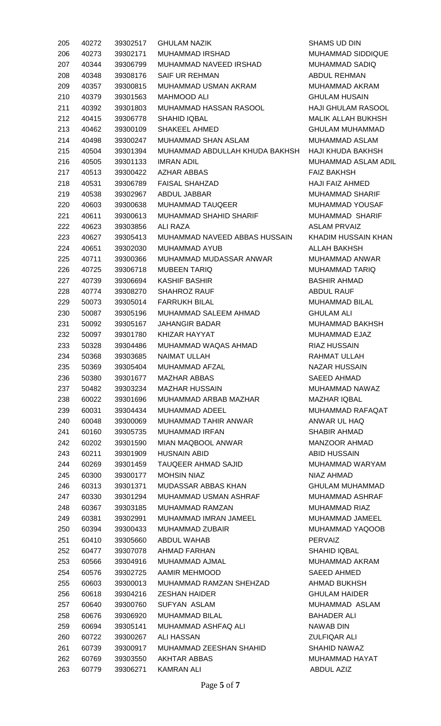| 205 | 40272 | 39302517 | <b>GHULAM NAZIK</b>            | <b>SHAMS UD DIN</b>   |
|-----|-------|----------|--------------------------------|-----------------------|
| 206 | 40273 | 39302171 | <b>MUHAMMAD IRSHAD</b>         | <b>MUHAMMAD SII</b>   |
| 207 | 40344 | 39306799 | MUHAMMAD NAVEED IRSHAD         | <b>MUHAMMAD SA</b>    |
| 208 | 40348 | 39308176 | <b>SAIF UR REHMAN</b>          | <b>ABDUL REHMAI</b>   |
| 209 | 40357 | 39300815 | MUHAMMAD USMAN AKRAM           | <b>MUHAMMAD AK</b>    |
| 210 | 40379 | 39301563 | <b>MAHMOOD ALI</b>             | <b>GHULAM HUSA</b>    |
| 211 | 40392 | 39301803 | MUHAMMAD HASSAN RASOOL         | <b>HAJI GHULAM F</b>  |
| 212 | 40415 | 39306778 | SHAHID IQBAL                   | <b>MALIK ALLAH B</b>  |
| 213 | 40462 | 39300109 | <b>SHAKEEL AHMED</b>           | <b>GHULAM MUHA</b>    |
| 214 | 40498 | 39300247 | MUHAMMAD SHAN ASLAM            | MUHAMMAD AS           |
| 215 | 40504 | 39301394 | MUHAMMAD ABDULLAH KHUDA BAKHSH | <b>HAJI KHUDA BA</b>  |
| 216 | 40505 | 39301133 | <b>IMRAN ADIL</b>              | MUHAMMAD AS           |
| 217 | 40513 | 39300422 | <b>AZHAR ABBAS</b>             | <b>FAIZ BAKHSH</b>    |
| 218 | 40531 | 39306789 | <b>FAISAL SHAHZAD</b>          | <b>HAJI FAIZ AHME</b> |
| 219 | 40538 | 39302967 | ABDUL JABBAR                   | <b>MUHAMMAD SF</b>    |
| 220 | 40603 | 39300638 | <b>MUHAMMAD TAUQEER</b>        | MUHAMMAD YO           |
| 221 | 40611 | 39300613 | MUHAMMAD SHAHID SHARIF         | <b>MUHAMMAD SI</b>    |
| 222 | 40623 | 39303856 | ALI RAZA                       | <b>ASLAM PRVAIZ</b>   |
| 223 | 40627 | 39305413 | MUHAMMAD NAVEED ABBAS HUSSAIN  | <b>KHADIM HUSSA</b>   |
| 224 | 40651 | 39302030 | <b>MUHAMMAD AYUB</b>           | <b>ALLAH BAKHSH</b>   |
| 225 | 40711 | 39300366 | MUHAMMAD MUDASSAR ANWAR        | MUHAMMAD AN           |
| 226 | 40725 | 39306718 | <b>MUBEEN TARIQ</b>            | <b>MUHAMMAD TA</b>    |
| 227 | 40739 | 39306694 | <b>KASHIF BASHIR</b>           | <b>BASHIR AHMAD</b>   |
| 228 | 40774 | 39308270 | <b>SHAHROZ RAUF</b>            | ABDUL RAUF            |
| 229 | 50073 | 39305014 | <b>FARRUKH BILAL</b>           | <b>MUHAMMAD BII</b>   |
| 230 | 50087 | 39305196 | MUHAMMAD SALEEM AHMAD          | <b>GHULAM ALI</b>     |
| 231 | 50092 | 39305167 | <b>JAHANGIR BADAR</b>          | MUHAMMAD BA           |
| 232 | 50097 | 39301780 | KHIZAR HAYYAT                  | MUHAMMAD EJ           |
| 233 | 50328 | 39304486 | MUHAMMAD WAQAS AHMAD           | <b>RIAZ HUSSAIN</b>   |
| 234 | 50368 | 39303685 | <b>NAIMAT ULLAH</b>            | RAHMAT ULLAH          |
| 235 | 50369 | 39305404 | MUHAMMAD AFZAL                 | <b>NAZAR HUSSAI</b>   |
| 236 | 50380 | 39301677 | <b>MAZHAR ABBAS</b>            | <b>SAEED AHMAD</b>    |
| 237 | 50482 | 39303234 | <b>MAZHAR HUSSAIN</b>          | MUHAMMAD N/           |
| 238 | 60022 | 39301696 | MUHAMMAD ARBAB MAZHAR          | <b>MAZHAR IQBAL</b>   |
| 239 | 60031 | 39304434 | <b>MUHAMMAD ADEEL</b>          | <b>MUHAMMAD RA</b>    |
| 240 | 60048 | 39300069 | MUHAMMAD TAHIR ANWAR           | ANWAR UL HAC          |
| 241 | 60160 | 39305735 | <b>MUHAMMAD IRFAN</b>          | <b>SHABIR AHMAD</b>   |
| 242 | 60202 | 39301590 | MIAN MAQBOOL ANWAR             | MANZOOR AHM           |
| 243 | 60211 | 39301909 | <b>HUSNAIN ABID</b>            | ABID HUSSAIN          |
| 244 | 60269 | 39301459 | TAUQEER AHMAD SAJID            | MUHAMMAD W            |
| 245 | 60300 | 39300177 | <b>MOHSIN NIAZ</b>             | NIAZ AHMAD            |
| 246 | 60313 | 39301371 | MUDASSAR ABBAS KHAN            | <b>GHULAM MUHA</b>    |
| 247 | 60330 | 39301294 | MUHAMMAD USMAN ASHRAF          | MUHAMMAD AS           |
| 248 | 60367 | 39303185 | MUHAMMAD RAMZAN                | <b>MUHAMMAD RI</b>    |
| 249 | 60381 | 39302991 | MUHAMMAD IMRAN JAMEEL          | MUHAMMAD JA           |
| 250 | 60394 | 39300433 | <b>MUHAMMAD ZUBAIR</b>         | MUHAMMAD YA           |
| 251 | 60410 | 39305660 | ABDUL WAHAB                    | <b>PERVAIZ</b>        |
| 252 | 60477 | 39307078 | AHMAD FARHAN                   | SHAHID IQBAL          |
| 253 | 60566 | 39304916 | MUHAMMAD AJMAL                 | <b>MUHAMMAD AK</b>    |
| 254 | 60576 | 39302725 | AAMIR MEHMOOD                  | <b>SAEED AHMED</b>    |
| 255 | 60603 | 39300013 | MUHAMMAD RAMZAN SHEHZAD        | <b>AHMAD BUKHS</b>    |
| 256 | 60618 | 39304216 | <b>ZESHAN HAIDER</b>           | <b>GHULAM HAIDE</b>   |
| 257 | 60640 | 39300760 | <b>SUFYAN ASLAM</b>            | MUHAMMAD A            |
| 258 | 60676 | 39306920 | <b>MUHAMMAD BILAL</b>          | <b>BAHADER ALI</b>    |
| 259 | 60694 | 39305141 | MUHAMMAD ASHFAQ ALI            | NAWAB DIN             |
| 260 | 60722 | 39300267 | <b>ALI HASSAN</b>              | <b>ZULFIQAR ALI</b>   |
| 261 | 60739 | 39300917 | MUHAMMAD ZEESHAN SHAHID        | <b>SHAHID NAWAZ</b>   |
| 262 | 60769 | 39303550 | <b>AKHTAR ABBAS</b>            | MUHAMMAD HA           |
| 263 | 60779 | 39306271 | <b>KAMRAN ALI</b>              | <b>ABDUL AZIZ</b>     |

MUHAMMAD SIDDIQUE MUHAMMAD SADIQ ABDUL REHMAN MUHAMMAD AKRAM **GHULAM HUSAIN** HAJI GHULAM RASOOL MALIK ALLAH BUKHSH GHULAM MUHAMMAD MUHAMMAD ASLAM HAJI KHUDA BAKHSH MUHAMMAD ASLAM ADIL **FAIZ BAKHSH** HAJI FAIZ AHMED MUHAMMAD SHARIF MUHAMMAD YOUSAF MUHAMMAD SHARIF ASLAM PRVAIZ KHADIM HUSSAIN KHAN ALLAH BAKHSH MUHAMMAD ANWAR MUHAMMAD TARIQ BASHIR AHMAD ABDUL RAUF MUHAMMAD BILAL **GHULAM ALI** MUHAMMAD BAKHSH MUHAMMAD EJAZ RIAZ HUSSAIN RAHMAT ULLAH NAZAR HUSSAIN SAEED AHMAD MUHAMMAD NAWAZ MAZHAR IQBAL MUHAMMAD RAFAQAT ANWAR UL HAQ SHABIR AHMAD MANZOOR AHMAD **ABID HUSSAIN** MUHAMMAD WARYAM NIAZ AHMAD GHULAM MUHAMMAD MUHAMMAD ASHRAF MUHAMMAD RIAZ MUHAMMAD JAMEEL MUHAMMAD YAQOOB SHAHID IQBAL MUHAMMAD AKRAM SAEED AHMED AHMAD BUKHSH **GHULAM HAIDER** MUHAMMAD ASLAM BAHADER ALI NAWAB DIN **ZULFIQAR ALI** SHAHID NAWAZ MUHAMMAD HAYAT ABDUL AZIZ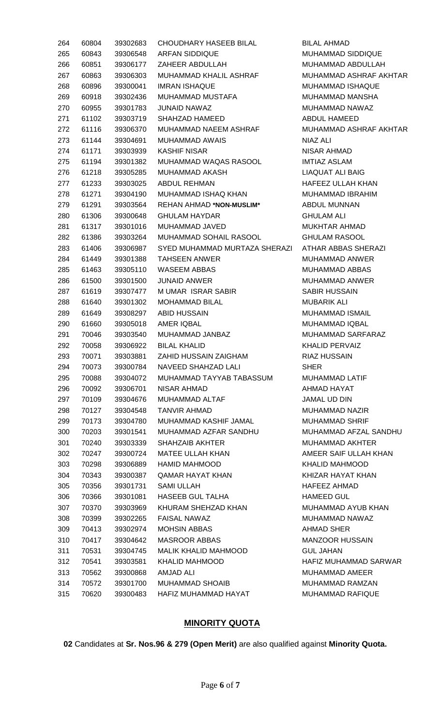| 264 | 60804 | 39302683 | CHOUDHARY HASEEB BILAL        | <b>BILAL AF</b>     |
|-----|-------|----------|-------------------------------|---------------------|
| 265 | 60843 | 39306548 | <b>ARFAN SIDDIQUE</b>         | <b>MUHAMI</b>       |
| 266 | 60851 | 39306177 | ZAHEER ABDULLAH               | <b>MUHAMI</b>       |
| 267 | 60863 | 39306303 | MUHAMMAD KHALIL ASHRAF        | <b>MUHAMI</b>       |
| 268 | 60896 | 39300041 | <b>IMRAN ISHAQUE</b>          | <b>MUHAMI</b>       |
| 269 | 60918 | 39302436 | MUHAMMAD MUSTAFA              | <b>MUHAMI</b>       |
| 270 | 60955 | 39301783 | JUNAID NAWAZ                  | <b>MUHAMI</b>       |
| 271 | 61102 | 39303719 | SHAHZAD HAMEED                | <b>ABDUL F</b>      |
| 272 | 61116 | 39306370 | MUHAMMAD NAEEM ASHRAF         | <b>MUHAMI</b>       |
| 273 | 61144 | 39304691 | <b>MUHAMMAD AWAIS</b>         | <b>NIAZ ALI</b>     |
| 274 | 61171 | 39303939 | <b>KASHIF NISAR</b>           | <b>NISAR A</b>      |
| 275 | 61194 | 39301382 | MUHAMMAD WAQAS RASOOL         | <b>IMTIAZ A</b>     |
| 276 | 61218 | 39305285 | MUHAMMAD AKASH                | LIAQUA <sub>1</sub> |
| 277 | 61233 | 39303025 | <b>ABDUL REHMAN</b>           | <b>HAFEEZ</b>       |
| 278 | 61271 | 39304190 | MUHAMMAD ISHAQ KHAN           | <b>MUHAMI</b>       |
| 279 | 61291 | 39303564 | REHAN AHMAD *NON-MUSLIM*      | <b>ABDUL M</b>      |
| 280 | 61306 | 39300648 | <b>GHULAM HAYDAR</b>          | <b>GHULAN</b>       |
| 281 | 61317 | 39301016 | MUHAMMAD JAVED                | <b>MUKHTA</b>       |
| 282 | 61386 | 39303264 | MUHAMMAD SOHAIL RASOOL        | <b>GHULAN</b>       |
| 283 | 61406 | 39306987 | SYED MUHAMMAD MURTAZA SHERAZI | ATHAR /             |
| 284 | 61449 | 39301388 | <b>TAHSEEN ANWER</b>          | <b>MUHAMI</b>       |
| 285 | 61463 | 39305110 | <b>WASEEM ABBAS</b>           | <b>MUHAMI</b>       |
| 286 | 61500 | 39301500 | <b>JUNAID ANWER</b>           | <b>MUHAMI</b>       |
| 287 | 61619 | 39307477 | M UMAR ISRAR SABIR            | <b>SABIRH</b>       |
| 288 | 61640 | 39301302 | <b>MOHAMMAD BILAL</b>         | <b>MUBARII</b>      |
| 289 | 61649 | 39308297 | <b>ABID HUSSAIN</b>           | <b>MUHAMI</b>       |
| 290 | 61660 | 39305018 | AMER IQBAL                    | <b>MUHAMI</b>       |
| 291 | 70046 | 39303540 | MUHAMMAD JANBAZ               | <b>MUHAMI</b>       |
| 292 | 70058 | 39306922 | <b>BILAL KHALID</b>           | <b>KHALID</b>       |
| 293 | 70071 | 39303881 | ZAHID HUSSAIN ZAIGHAM         | RIAZ HU             |
| 294 | 70073 | 39300784 | NAVEED SHAHZAD LALI           | <b>SHER</b>         |
| 295 | 70088 | 39304072 | MUHAMMAD TAYYAB TABASSUM      | <b>MUHAMI</b>       |
| 296 | 70092 | 39306701 | NISAR AHMAD                   | <b>AHMAD</b>        |
| 297 | 70109 | 39304676 | MUHAMMAD ALTAF                | <b>JAMAL L</b>      |
| 298 | 70127 | 39304548 | <b>TANVIR AHMAD</b>           | <b>MUHAMI</b>       |
| 299 | 70173 | 39304780 | MUHAMMAD KASHIF JAMAL         | <b>MUHAMI</b>       |
| 300 | 70203 | 39301541 | MUHAMMAD AZFAR SANDHU         | <b>MUHAMI</b>       |
| 301 | 70240 | 39303339 | <b>SHAHZAIB AKHTER</b>        | <b>MUHAMI</b>       |
| 302 | 70247 | 39300724 | <b>MATEE ULLAH KHAN</b>       | AMEER \$            |
| 303 | 70298 | 39306889 | <b>HAMID MAHMOOD</b>          | <b>KHALID</b>       |
| 304 | 70343 | 39300387 | <b>QAMAR HAYAT KHAN</b>       | <b>KHIZAR</b>       |
| 305 | 70356 | 39301731 | <b>SAMI ULLAH</b>             | <b>HAFEEZ</b>       |
| 306 | 70366 | 39301081 | <b>HASEEB GUL TALHA</b>       | <b>HAMEED</b>       |
| 307 | 70370 | 39303969 | KHURAM SHEHZAD KHAN           | <b>MUHAMI</b>       |
| 308 | 70399 | 39302265 | <b>FAISAL NAWAZ</b>           | <b>MUHAMI</b>       |
| 309 | 70413 | 39302974 | <b>MOHSIN ABBAS</b>           | <b>AHMAD:</b>       |
| 310 | 70417 | 39304642 | <b>MASROOR ABBAS</b>          | <b>MANZOC</b>       |
| 311 | 70531 | 39304745 | MALIK KHALID MAHMOOD          | <b>GUL JAH</b>      |
| 312 | 70541 | 39303581 | <b>KHALID MAHMOOD</b>         | <b>HAFIZM</b>       |
| 313 | 70562 | 39300868 | <b>AMJAD ALI</b>              | <b>MUHAMI</b>       |
| 314 | 70572 | 39301700 | <b>MUHAMMAD SHOAIB</b>        | <b>MUHAMI</b>       |
| 315 | 70620 | 39300483 | HAFIZ MUHAMMAD HAYAT          | <b>MUHAMI</b>       |
|     |       |          |                               |                     |

BILAL AHMAD MUHAMMAD SIDDIQUE MUHAMMAD ABDULLAH MUHAMMAD ASHRAF AKHTAR MUHAMMAD ISHAQUE MUHAMMAD MANSHA MUHAMMAD NAWAZ ABDUL HAMEED MUHAMMAD ASHRAF AKHTAR NISAR AHMAD **IMTIAZ ASLAM** LIAQUAT ALI BAIG HAFEEZ ULLAH KHAN MUHAMMAD IBRAHIM ABDUL MUNNAN **GHULAM ALI** MUKHTAR AHMAD GHULAM RASOOL 21 ATHAR ABBAS SHERAZI MUHAMMAD ANWER MUHAMMAD ABBAS MUHAMMAD ANWER SABIR HUSSAIN **MUBARIK ALI** MUHAMMAD ISMAIL MUHAMMAD IQBAL MUHAMMAD SARFARAZ KHALID PERVAIZ RIAZ HUSSAIN MUHAMMAD LATIF AHMAD HAYAT JAMAL UD DIN MUHAMMAD NAZIR MUHAMMAD SHRIF MUHAMMAD AFZAL SANDHU MUHAMMAD AKHTER AMEER SAIF ULLAH KHAN KHALID MAHMOOD KHIZAR HAYAT KHAN HAFEEZ AHMAD HAMEED GUL MUHAMMAD AYUB KHAN MUHAMMAD NAWAZ AHMAD SHER MANZOOR HUSSAIN **GUL JAHAN** HAFIZ MUHAMMAD SARWAR MUHAMMAD AMEER MUHAMMAD RAMZAN MUHAMMAD RAFIQUE

#### **MINORITY QUOTA**

**02** Candidates at **Sr. Nos.96 & 279 (Open Merit)** are also qualified against **Minority Quota.**